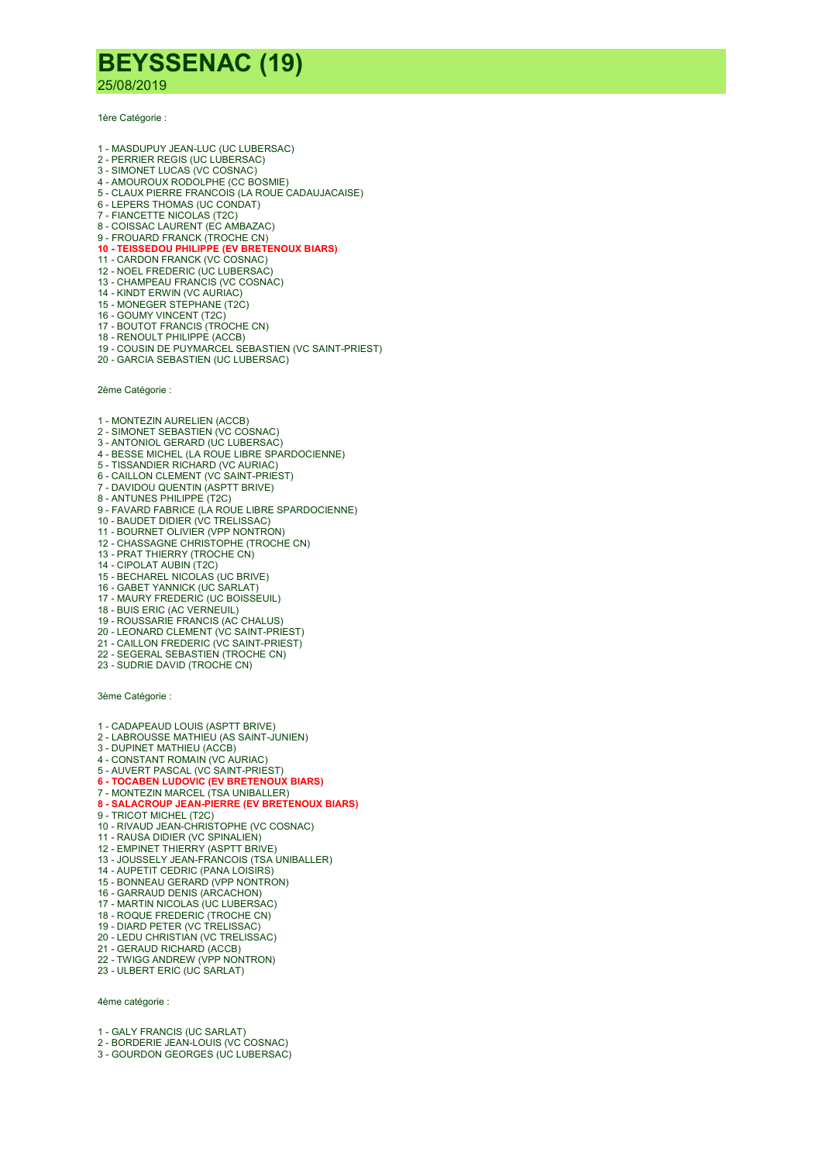## BEYSSENAC (19)

25/08/2019

1ère Catégorie :

- 1 MASDUPUY JEAN-LUC (UC LUBERSAC)
- 2 PERRIER REGIS (UC LUBERSAC)
- 3 SIMONET LUCAS (VC COSNAC)
- 4 AMOUROUX RODOLPHE (CC BOSMIE) 5 - CLAUX PIERRE FRANCOIS (LA ROUE CADAUJACAISE)
- 6 LEPERS THOMAS (UC CONDAT)
- 7 FIANCETTE NICOLAS (T2C)
- 8 COISSAC LAURENT (EC AMBAZAC)
- 
- 9 FROUARD FRANCK (TROCHE CN)<br>**10 TEISSEDOU PHILIPPE (EV BRETENOUX BIARS)**
- 11 CARDON FRANCK (VC COSNAC)
- 12 NOEL FREDERIC (UC LUBERSAC)
- 13 CHAMPEAU FRANCIS (VC COSNAC)
- 14 KINDT ERWIN (VC AURIAC) 15 - MONEGER STEPHANE (T2C)
- 19 MONECEN CTERT (T2C)
- 17 BOUTOT FRANCIS (TROCHE CN)
- 18 RENOULT PHILIPPE (ACCB)
- 19 COUSIN DE PUYMARCEL SEBASTIEN (VC SAINT-PRIEST)
- 20 GARCIA SEBASTIEN (UC LUBERSAC)

2ème Catégorie :

- 1 MONTEZIN AURELIEN (ACCB)
- 2 SIMONET SEBASTIEN (VC COSNAC)
- 3 ANTONIOL GERARD (UC LUBERSAC)
- 4 BESSE MICHEL (LA ROUE LIBRE SPARDOCIENNE) 5 - TISSANDIER RICHARD (VC AURIAC)
- 6 CAILLON CLEMENT (VC SAINT-PRIEST)
- 7 DAVIDOU QUENTIN (ASPTT BRIVE)
- 8 ANTUNES PHILIPPE (T2C)
- 9 FAVARD FABRICE (LA ROUE LIBRE SPARDOCIENNE)
- 10 BAUDET DIDIER (VC TRELISSAC)
- 11 BOURNET OLIVIER (VPP NONTRON)
- 12 CHASSAGNE CHRISTOPHE (TROCHE CN)
- 13 PRAT THIERRY (TROCHE CN)
- 14 CIPOLAT AUBIN (T2C)
- 15 BECHAREL NICOLAS (UC BRIVE)
- 16 GABET YANNICK (UC SARLAT)
- 17 MAURY FREDERIC (UC BOISSEUIL) 18 - BUIS ERIC (AC VERNEUIL)
- 19 ROUSSARIE FRANCIS (AC CHALUS)
- 20 LEONARD CLEMENT (VC SAINT-PRIEST)
- 21 CAILLON FREDERIC (VC SAINT-PRIEST)
- 22 SEGERAL SEBASTIEN (TROCHE CN)
- 23 SUDRIE DAVID (TROCHE CN)

3ème Catégorie :

- 1 CADAPEAUD LOUIS (ASPTT BRIVE)
- 2 LABROUSSE MATHIEU (AS SAINT-JUNIEN)
- 3 DUPINET MATHIEU (ACCB)
- 4 CONSTANT ROMAIN (VC AURIAC)
- 5 AUVERT PASCAL (VC SAINT-PRIEST)<br><mark>6 TOCABEN LUDOVIC (EV BRETENOUX BIARS)</mark>
- 7 MONTEZIN MARCEL (TSA UNIBALLER)
- 8 SALACROUP JEAN-PIERRE (EV BRETENOUX BIARS)
- 9 TRICOT MICHEL (T2C)
- 10 RIVAUD JEAN-CHRISTOPHE (VC COSNAC)
- 11 RAUSA DIDIER (VC SPINALIEN)
- 12 EMPINET THIERRY (ASPTT BRIVE)
- 13 JOUSSELY JEAN-FRANCOIS (TSA UNIBALLER)
- 14 AUPETIT CEDRIC (PANA LOISIRS)
- 15 BONNEAU GERARD (VPP NONTRON)
- 16 GARRAUD DENIS (ARCACHON)
- 17 MARTIN NICOLAS (UC LUBERSAC)
- 18 ROQUE FREDERIC (TROCHE CN) 19 - DIARD PETER (VC TRELISSAC)
- 20 LEDU CHRISTIAN (VC TRELISSAC)
- 21 GERAUD RICHARD (ACCB)
- 22 TWIGG ANDREW (VPP NONTRON)
- 23 ULBERT ERIC (UC SARLAT)

4ème catégorie :

- 1 GALY FRANCIS (UC SARLAT)
- 2 BORDERIE JEAN-LOUIS (VC COSNAC)
- 3 GOURDON GEORGES (UC LUBERSAC)